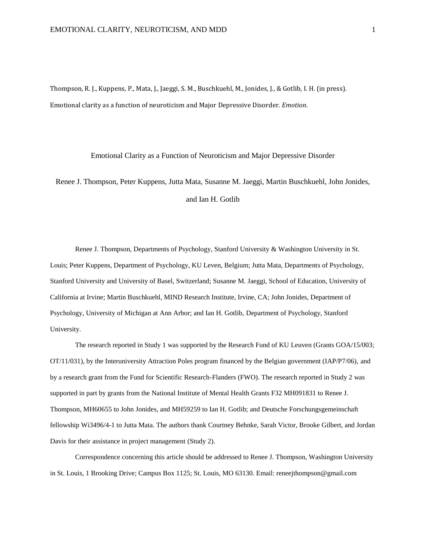Thompson, R. J., Kuppens, P., Mata, J., Jaeggi, S. M., Buschkuehl, M., Jonides, J., & Gotlib, I. H. (in press). Emotional clarity as a function of neuroticism and Major Depressive Disorder. *Emotion*.

#### Emotional Clarity as a Function of Neuroticism and Major Depressive Disorder

Renee J. Thompson, Peter Kuppens, Jutta Mata, Susanne M. Jaeggi, Martin Buschkuehl, John Jonides, and Ian H. Gotlib

Renee J. Thompson, Departments of Psychology, Stanford University & Washington University in St. Louis; Peter Kuppens, Department of Psychology, KU Leven, Belgium; Jutta Mata, Departments of Psychology, Stanford University and University of Basel, Switzerland; Susanne M. Jaeggi, School of Education, University of California at Irvine; Martin Buschkuehl, MIND Research Institute, Irvine, CA; John Jonides, Department of Psychology, University of Michigan at Ann Arbor; and Ian H. Gotlib, Department of Psychology, Stanford University.

The research reported in Study 1 was supported by the Research Fund of KU Leuven (Grants GOA/15/003; OT/11/031), by the Interuniversity Attraction Poles program financed by the Belgian government (IAP/P7/06), and by a research grant from the Fund for Scientific Research-Flanders (FWO). The research reported in Study 2 was supported in part by grants from the National Institute of Mental Health Grants F32 MH091831 to Renee J. Thompson, MH60655 to John Jonides, and MH59259 to Ian H. Gotlib; and Deutsche Forschungsgemeinschaft fellowship Wi3496/4-1 to Jutta Mata. The authors thank Courtney Behnke, Sarah Victor, Brooke Gilbert, and Jordan Davis for their assistance in project management (Study 2).

Correspondence concerning this article should be addressed to Renee J. Thompson, Washington University in St. Louis, 1 Brooking Drive; Campus Box 1125; St. Louis, MO 63130. Email: reneejthompson@gmail.com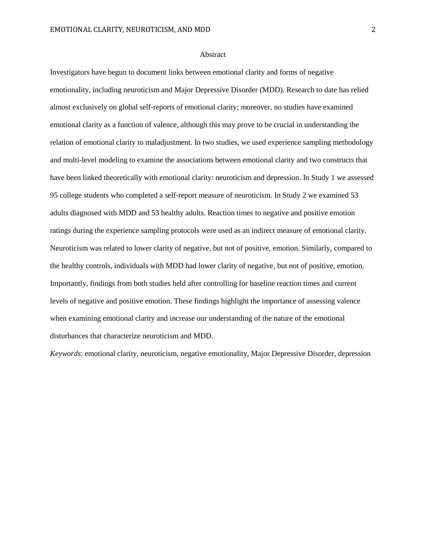## Abstract

Investigators have begun to document links between emotional clarity and forms of negative emotionality, including neuroticism and Major Depressive Disorder (MDD). Research to date has relied almost exclusively on global self-reports of emotional clarity; moreover, no studies have examined emotional clarity as a function of valence, although this may prove to be crucial in understanding the relation of emotional clarity to maladjustment. In two studies, we used experience sampling methodology and multi-level modeling to examine the associations between emotional clarity and two constructs that have been linked theoretically with emotional clarity: neuroticism and depression. In Study 1 we assessed 95 college students who completed a self-report measure of neuroticism. In Study 2 we examined 53 adults diagnosed with MDD and 53 healthy adults. Reaction times to negative and positive emotion ratings during the experience sampling protocols were used as an indirect measure of emotional clarity. Neuroticism was related to lower clarity of negative, but not of positive, emotion. Similarly, compared to the healthy controls, individuals with MDD had lower clarity of negative, but not of positive, emotion. Importantly, findings from both studies held after controlling for baseline reaction times and current levels of negative and positive emotion. These findings highlight the importance of assessing valence when examining emotional clarity and increase our understanding of the nature of the emotional disturbances that characterize neuroticism and MDD.

*Keywords*: emotional clarity, neuroticism, negative emotionality, Major Depressive Disorder, depression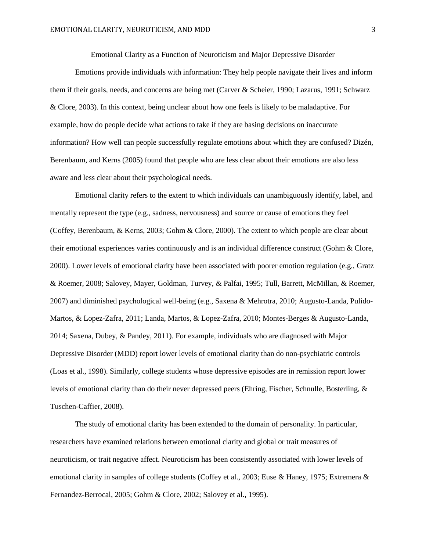Emotional Clarity as a Function of Neuroticism and Major Depressive Disorder

Emotions provide individuals with information: They help people navigate their lives and inform them if their goals, needs, and concerns are being met [\(Carver & Scheier, 1990;](#page-20-0) [Lazarus, 1991;](#page-22-0) [Schwarz](#page-23-0)  & Clore, 2003). In this context, being unclear about how one feels is likely to be maladaptive. For example, how do people decide what actions to take if they are basing decisions on inaccurate information? How well can people successfully regulate emotions about which they are confused? Dizén, Berenbaum, and Kerns [\(2005\)](#page-20-1) found that people who are less clear about their emotions are also less aware and less clear about their psychological needs.

Emotional clarity refers to the extent to which individuals can unambiguously identify, label, and mentally represent the type (e.g., sadness, nervousness) and source or cause of emotions they feel [\(Coffey, Berenbaum, & Kerns, 2003;](#page-20-2) [Gohm & Clore, 2000\)](#page-21-0). The extent to which people are clear about their emotional experiences varies continuously and is an individual difference construct [\(Gohm & Clore,](#page-21-0)  2000). Lower levels of emotional clarity have been associated with poorer emotion regulation (e.g., [Gratz](#page-21-1)  & Roemer, 2008; [Salovey, Mayer, Goldman, Turvey, & Palfai, 1995;](#page-23-1) [Tull, Barrett, McMillan, & Roemer,](#page-24-0)  2007) and diminished psychological well-being (e.g., [Saxena & Mehrotra, 2010;](#page-23-2) [Augusto-Landa, Pulido-](#page-19-0)[Martos, & Lopez-Zafra, 2011;](#page-19-0) [Landa, Martos, & Lopez-Zafra, 2010;](#page-22-1) [Montes-Berges & Augusto-Landa,](#page-22-2)  [2014;](#page-22-2) [Saxena, Dubey, & Pandey, 2011\)](#page-23-3). For example, individuals who are diagnosed with Major Depressive Disorder (MDD) report lower levels of emotional clarity than do non-psychiatric controls [\(Loas et al., 1998\)](#page-22-3). Similarly, college students whose depressive episodes are in remission report lower levels of emotional clarity than do their never depressed peers [\(Ehring, Fischer, Schnulle, Bosterling, &](#page-20-3)  Tuschen-Caffier, 2008).

The study of emotional clarity has been extended to the domain of personality. In particular, researchers have examined relations between emotional clarity and global or trait measures of neuroticism, or trait negative affect. Neuroticism has been consistently associated with lower levels of emotional clarity in samples of college students [\(Coffey et al., 2003;](#page-20-2) [Euse & Haney, 1975;](#page-20-4) [Extremera &](#page-20-5)  Fernandez-Berrocal, 2005[; Gohm & Clore, 2002;](#page-21-2) [Salovey et al., 1995\)](#page-23-1).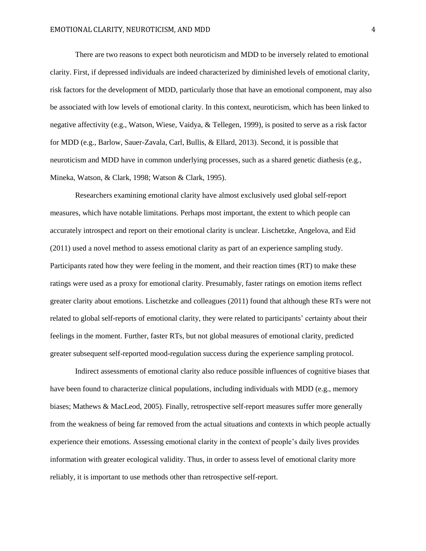There are two reasons to expect both neuroticism and MDD to be inversely related to emotional clarity. First, if depressed individuals are indeed characterized by diminished levels of emotional clarity, risk factors for the development of MDD, particularly those that have an emotional component, may also be associated with low levels of emotional clarity. In this context, neuroticism, which has been linked to negative affectivity (e.g., [Watson, Wiese, Vaidya, & Tellegen, 1999\)](#page-24-1), is posited to serve as a risk factor for MDD (e.g., [Barlow, Sauer-Zavala, Carl, Bullis, & Ellard, 2013\)](#page-19-1). Second, it is possible that neuroticism and MDD have in common underlying processes, such as a shared genetic diathesis (e.g., [Mineka, Watson, & Clark, 1998;](#page-22-4) [Watson & Clark, 1995\)](#page-24-2).

Researchers examining emotional clarity have almost exclusively used global self-report measures, which have notable limitations. Perhaps most important, the extent to which people can accurately introspect and report on their emotional clarity is unclear. Lischetzke, Angelova, and Eid [\(2011\)](#page-22-5) used a novel method to assess emotional clarity as part of an experience sampling study. Participants rated how they were feeling in the moment, and their reaction times (RT) to make these ratings were used as a proxy for emotional clarity. Presumably, faster ratings on emotion items reflect greater clarity about emotions. Lischetzke and colleagues [\(2011\)](#page-22-5) found that although these RTs were not related to global self-reports of emotional clarity, they were related to participants' certainty about their feelings in the moment. Further, faster RTs, but not global measures of emotional clarity, predicted greater subsequent self-reported mood-regulation success during the experience sampling protocol.

Indirect assessments of emotional clarity also reduce possible influences of cognitive biases that have been found to characterize clinical populations, including individuals with MDD (e.g., memory biases[; Mathews & MacLeod, 2005\)](#page-22-6). Finally, retrospective self-report measures suffer more generally from the weakness of being far removed from the actual situations and contexts in which people actually experience their emotions. Assessing emotional clarity in the context of people's daily lives provides information with greater ecological validity. Thus, in order to assess level of emotional clarity more reliably, it is important to use methods other than retrospective self-report.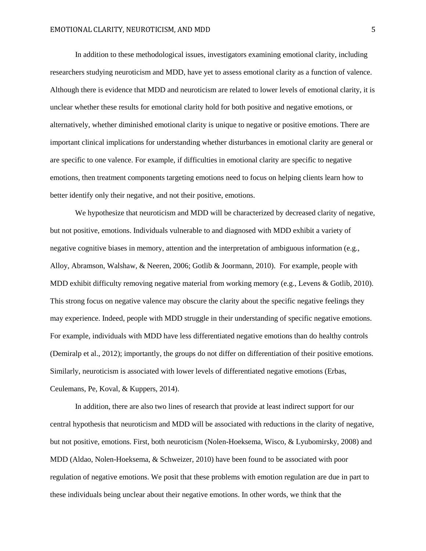In addition to these methodological issues, investigators examining emotional clarity, including researchers studying neuroticism and MDD, have yet to assess emotional clarity as a function of valence. Although there is evidence that MDD and neuroticism are related to lower levels of emotional clarity, it is unclear whether these results for emotional clarity hold for both positive and negative emotions, or alternatively, whether diminished emotional clarity is unique to negative or positive emotions. There are important clinical implications for understanding whether disturbances in emotional clarity are general or are specific to one valence. For example, if difficulties in emotional clarity are specific to negative emotions, then treatment components targeting emotions need to focus on helping clients learn how to better identify only their negative, and not their positive, emotions.

We hypothesize that neuroticism and MDD will be characterized by decreased clarity of negative, but not positive, emotions. Individuals vulnerable to and diagnosed with MDD exhibit a variety of negative cognitive biases in memory, attention and the interpretation of ambiguous information (e.g., [Alloy, Abramson, Walshaw, & Neeren, 2006;](#page-19-2) [Gotlib & Joormann, 2010\)](#page-21-3). For example, people with MDD exhibit difficulty removing negative material from working memory (e.g., [Levens & Gotlib, 2010\)](#page-22-7). This strong focus on negative valence may obscure the clarity about the specific negative feelings they may experience. Indeed, people with MDD struggle in their understanding of specific negative emotions. For example, individuals with MDD have less differentiated negative emotions than do healthy controls [\(Demiralp et al., 2012\)](#page-20-6); importantly, the groups do not differ on differentiation of their positive emotions. Similarly, neuroticism is associated with lower levels of differentiated negative emotions [\(Erbas,](#page-20-7)  Ceulemans, Pe, Koval, & Kuppers, 2014).

In addition, there are also two lines of research that provide at least indirect support for our central hypothesis that neuroticism and MDD will be associated with reductions in the clarity of negative, but not positive, emotions. First, both neuroticism [\(Nolen-Hoeksema, Wisco, & Lyubomirsky, 2008\)](#page-23-4) and MDD [\(Aldao, Nolen-Hoeksema, & Schweizer, 2010\)](#page-19-3) have been found to be associated with poor regulation of negative emotions. We posit that these problems with emotion regulation are due in part to these individuals being unclear about their negative emotions. In other words, we think that the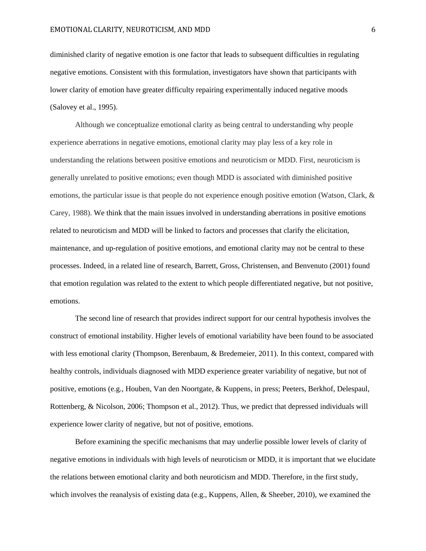diminished clarity of negative emotion is one factor that leads to subsequent difficulties in regulating negative emotions. Consistent with this formulation, investigators have shown that participants with lower clarity of emotion have greater difficulty repairing experimentally induced negative moods [\(Salovey et al., 1995\)](#page-23-1).

Although we conceptualize emotional clarity as being central to understanding why people experience aberrations in negative emotions, emotional clarity may play less of a key role in understanding the relations between positive emotions and neuroticism or MDD. First, neuroticism is generally unrelated to positive emotions; even though MDD is associated with diminished positive emotions, the particular issue is that people do not experience enough positive emotion [\(Watson, Clark, &](#page-24-3)  Carey, 1988). We think that the main issues involved in understanding aberrations in positive emotions related to neuroticism and MDD will be linked to factors and processes that clarify the elicitation, maintenance, and up-regulation of positive emotions, and emotional clarity may not be central to these processes. Indeed, in a related line of research, Barrett, Gross, Christensen, and Benvenuto [\(2001\)](#page-19-4) found that emotion regulation was related to the extent to which people differentiated negative, but not positive, emotions.

The second line of research that provides indirect support for our central hypothesis involves the construct of emotional instability. Higher levels of emotional variability have been found to be associated with less emotional clarity [\(Thompson, Berenbaum, & Bredemeier, 2011\)](#page-24-4). In this context, compared with healthy controls, individuals diagnosed with MDD experience greater variability of negative, but not of positive, emotions (e.g., [Houben, Van den Noortgate, & Kuppens, in](#page-21-4) press; [Peeters, Berkhof, Delespaul,](#page-23-5)  [Rottenberg, & Nicolson, 2006;](#page-23-5) [Thompson et al., 2012\)](#page-24-5). Thus, we predict that depressed individuals will experience lower clarity of negative, but not of positive, emotions.

Before examining the specific mechanisms that may underlie possible lower levels of clarity of negative emotions in individuals with high levels of neuroticism or MDD, it is important that we elucidate the relations between emotional clarity and both neuroticism and MDD. Therefore, in the first study, which involves the reanalysis of existing data (e.g., [Kuppens, Allen, & Sheeber, 2010\)](#page-21-5), we examined the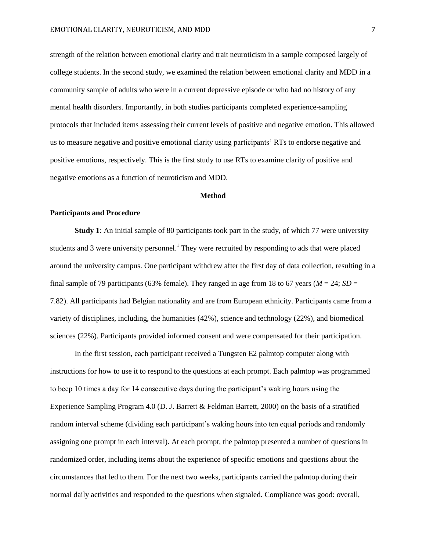strength of the relation between emotional clarity and trait neuroticism in a sample composed largely of college students. In the second study, we examined the relation between emotional clarity and MDD in a community sample of adults who were in a current depressive episode or who had no history of any mental health disorders. Importantly, in both studies participants completed experience-sampling protocols that included items assessing their current levels of positive and negative emotion. This allowed us to measure negative and positive emotional clarity using participants' RTs to endorse negative and positive emotions, respectively. This is the first study to use RTs to examine clarity of positive and negative emotions as a function of neuroticism and MDD.

## **Method**

#### **Participants and Procedure**

**Study 1**: An initial sample of 80 participants took part in the study, of which 77 were university students and 3 were university personnel.<sup>1</sup> They were recruited by responding to ads that were placed around the university campus. One participant withdrew after the first day of data collection, resulting in a final sample of 79 participants (63% female). They ranged in age from 18 to 67 years ( $M = 24$ ;  $SD =$ 7.82). All participants had Belgian nationality and are from European ethnicity. Participants came from a variety of disciplines, including, the humanities (42%), science and technology (22%), and biomedical sciences (22%). Participants provided informed consent and were compensated for their participation.

In the first session, each participant received a Tungsten E2 palmtop computer along with instructions for how to use it to respond to the questions at each prompt. Each palmtop was programmed to beep 10 times a day for 14 consecutive days during the participant's waking hours using the Experience Sampling Program 4.0 [\(D. J. Barrett & Feldman Barrett, 2000\)](#page-19-5) on the basis of a stratified random interval scheme (dividing each participant's waking hours into ten equal periods and randomly assigning one prompt in each interval). At each prompt, the palmtop presented a number of questions in randomized order, including items about the experience of specific emotions and questions about the circumstances that led to them. For the next two weeks, participants carried the palmtop during their normal daily activities and responded to the questions when signaled. Compliance was good: overall,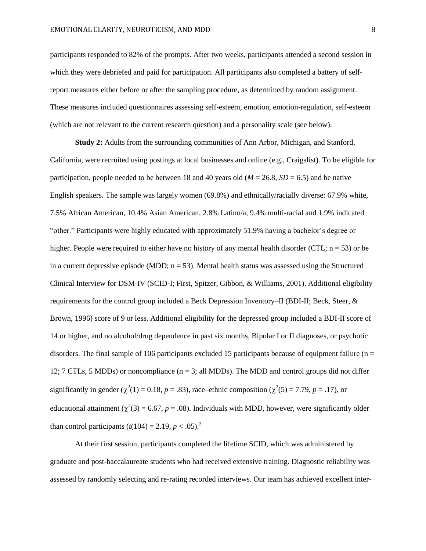participants responded to 82% of the prompts. After two weeks, participants attended a second session in which they were debriefed and paid for participation. All participants also completed a battery of selfreport measures either before or after the sampling procedure, as determined by random assignment. These measures included questionnaires assessing self-esteem, emotion, emotion-regulation, self-esteem (which are not relevant to the current research question) and a personality scale (see below).

**Study 2:** Adults from the surrounding communities of Ann Arbor, Michigan, and Stanford, California, were recruited using postings at local businesses and online (e.g., Craigslist). To be eligible for participation, people needed to be between 18 and 40 years old  $(M = 26.8, SD = 6.5)$  and be native English speakers. The sample was largely women (69.8%) and ethnically/racially diverse: 67.9% white, 7.5% African American, 10.4% Asian American, 2.8% Latino/a, 9.4% multi-racial and 1.9% indicated "other." Participants were highly educated with approximately 51.9% having a bachelor's degree or higher. People were required to either have no history of any mental health disorder (CTL;  $n = 53$ ) or be in a current depressive episode (MDD;  $n = 53$ ). Mental health status was assessed using the Structured Clinical Interview for DSM-IV (SCID-I; [First, Spitzer, Gibbon, & Williams, 2001\)](#page-21-6). Additional eligibility requirements for the control group included a Beck Depression Inventory–II (BDI-II; [Beck, Steer, &](#page-19-6)  Brown, 1996) score of 9 or less. Additional eligibility for the depressed group included a BDI-II score of 14 or higher, and no alcohol/drug dependence in past six months, Bipolar I or II diagnoses, or psychotic disorders. The final sample of 106 participants excluded 15 participants because of equipment failure ( $n =$ 12; 7 CTLs, 5 MDDs) or noncompliance (n = 3; all MDDs). The MDD and control groups did not differ significantly in gender ( $\chi^2(1) = 0.18$ ,  $p = .83$ ), race–ethnic composition ( $\chi^2(5) = 7.79$ ,  $p = .17$ ), or educational attainment ( $\chi^2(3) = 6.67$ ,  $p = .08$ ). Individuals with MDD, however, were significantly older than control participants  $(t(104) = 2.19, p < .05)^2$ 

At their first session, participants completed the lifetime SCID, which was administered by graduate and post-baccalaureate students who had received extensive training. Diagnostic reliability was assessed by randomly selecting and re-rating recorded interviews. Our team has achieved excellent inter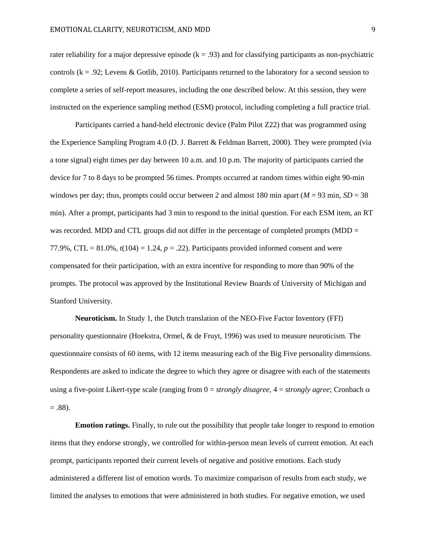rater reliability for a major depressive episode  $(k = .93)$  and for classifying participants as non-psychiatric controls ( $k = 0.92$ ; [Levens & Gotlib, 2010\)](#page-22-7). Participants returned to the laboratory for a second session to complete a series of self-report measures, including the one described below. At this session, they were instructed on the experience sampling method (ESM) protocol, including completing a full practice trial.

Participants carried a hand-held electronic device (Palm Pilot Z22) that was programmed using the Experience Sampling Program 4.0 [\(D. J. Barrett & Feldman Barrett, 2000\)](#page-19-5). They were prompted (via a tone signal) eight times per day between 10 a.m. and 10 p.m. The majority of participants carried the device for 7 to 8 days to be prompted 56 times. Prompts occurred at random times within eight 90-min windows per day; thus, prompts could occur between 2 and almost 180 min apart ( $M = 93$  min,  $SD = 38$ ) min). After a prompt, participants had 3 min to respond to the initial question. For each ESM item, an RT was recorded. MDD and CTL groups did not differ in the percentage of completed prompts (MDD = 77.9%, CTL =  $81.0\%$ ,  $t(104) = 1.24$ ,  $p = .22$ ). Participants provided informed consent and were compensated for their participation, with an extra incentive for responding to more than 90% of the prompts. The protocol was approved by the Institutional Review Boards of University of Michigan and Stanford University.

**Neuroticism.** In Study 1, the Dutch translation of the NEO-Five Factor Inventory (FFI) personality questionnaire [\(Hoekstra, Ormel, & de Fruyt, 1996\)](#page-21-7) was used to measure neuroticism. The questionnaire consists of 60 items, with 12 items measuring each of the Big Five personality dimensions. Respondents are asked to indicate the degree to which they agree or disagree with each of the statements using a five-point Likert-type scale (ranging from  $0 =$  *strongly disagree*,  $4 =$  *strongly agree*; Cronbach  $\alpha$  $= .88$ ).

**Emotion ratings.** Finally, to rule out the possibility that people take longer to respond to emotion items that they endorse strongly, we controlled for within-person mean levels of current emotion. At each prompt, participants reported their current levels of negative and positive emotions. Each study administered a different list of emotion words. To maximize comparison of results from each study, we limited the analyses to emotions that were administered in both studies. For negative emotion, we used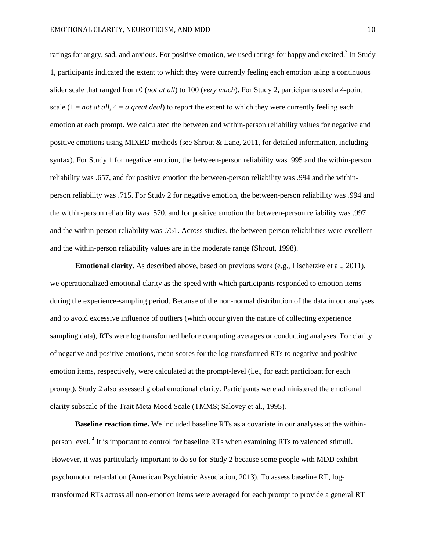ratings for angry, sad, and anxious. For positive emotion, we used ratings for happy and excited.<sup>3</sup> In Study 1, participants indicated the extent to which they were currently feeling each emotion using a continuous slider scale that ranged from 0 (*not at all*) to 100 (*very much*). For Study 2, participants used a 4-point scale (1 = *not at all*, 4 = *a great deal*) to report the extent to which they were currently feeling each emotion at each prompt. We calculated the between and within-person reliability values for negative and positive emotions using MIXED methods (see [Shrout & Lane, 2011,](#page-23-6) for detailed information, including syntax). For Study 1 for negative emotion, the between-person reliability was .995 and the within-person reliability was .657, and for positive emotion the between-person reliability was .994 and the withinperson reliability was .715. For Study 2 for negative emotion, the between-person reliability was .994 and the within-person reliability was .570, and for positive emotion the between-person reliability was .997 and the within-person reliability was .751. Across studies, the between-person reliabilities were excellent and the within-person reliability values are in the moderate range [\(Shrout, 1998\)](#page-23-7).

**Emotional clarity.** As described above, based on previous work (e.g., [Lischetzke et al., 2011\)](#page-22-5), we operationalized emotional clarity as the speed with which participants responded to emotion items during the experience-sampling period. Because of the non-normal distribution of the data in our analyses and to avoid excessive influence of outliers (which occur given the nature of collecting experience sampling data), RTs were log transformed before computing averages or conducting analyses. For clarity of negative and positive emotions, mean scores for the log-transformed RTs to negative and positive emotion items, respectively, were calculated at the prompt-level (i.e., for each participant for each prompt). Study 2 also assessed global emotional clarity. Participants were administered the emotional clarity subscale of the Trait Meta Mood Scale (TMMS; [Salovey et al., 1995\)](#page-23-1).

**Baseline reaction time.** We included baseline RTs as a covariate in our analyses at the withinperson level.<sup>4</sup> It is important to control for baseline RTs when examining RTs to valenced stimuli. However, it was particularly important to do so for Study 2 because some people with MDD exhibit psychomotor retardation [\(American Psychiatric Association, 2013\)](#page-19-7). To assess baseline RT, logtransformed RTs across all non-emotion items were averaged for each prompt to provide a general RT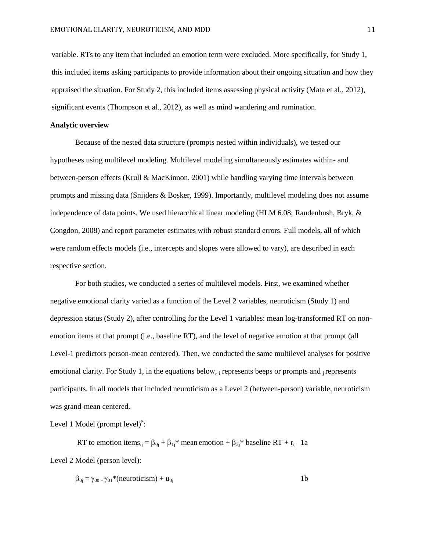variable. RTs to any item that included an emotion term were excluded. More specifically, for Study 1, this included items asking participants to provide information about their ongoing situation and how they appraised the situation. For Study 2, this included items assessing physical activity [\(Mata et al., 2012\)](#page-22-8), significant events [\(Thompson et al., 2012\)](#page-24-5), as well as mind wandering and rumination.

## **Analytic overview**

Because of the nested data structure (prompts nested within individuals), we tested our hypotheses using multilevel modeling. Multilevel modeling simultaneously estimates within- and between-person effects [\(Krull & MacKinnon, 2001\)](#page-21-8) while handling varying time intervals between prompts and missing data [\(Snijders & Bosker, 1999\)](#page-23-8). Importantly, multilevel modeling does not assume independence of data points. We used hierarchical linear modeling (HLM 6.08; [Raudenbush, Bryk, &](#page-23-9)  Congdon, 2008) and report parameter estimates with robust standard errors. Full models, all of which were random effects models (i.e., intercepts and slopes were allowed to vary), are described in each respective section.

For both studies, we conducted a series of multilevel models. First, we examined whether negative emotional clarity varied as a function of the Level 2 variables, neuroticism (Study 1) and depression status (Study 2), after controlling for the Level 1 variables: mean log-transformed RT on nonemotion items at that prompt (i.e., baseline RT), and the level of negative emotion at that prompt (all Level-1 predictors person-mean centered). Then, we conducted the same multilevel analyses for positive emotional clarity. For Study 1, in the equations below, i represents beeps or prompts and j represents participants. In all models that included neuroticism as a Level 2 (between-person) variable, neuroticism was grand-mean centered.

Level 1 Model (prompt level) $5$ :

RT to emotion items<sub>ij</sub> =  $\beta_{0j}$  +  $\beta_{1j}$ <sup>\*</sup> mean emotion +  $\beta_{2j}$ <sup>\*</sup> baseline RT +  $r_{ij}$  1a Level 2 Model (person level):

$$
\beta_{0j} = \gamma_{00} + \gamma_{01} * (neuroticism) + u_{0j}
$$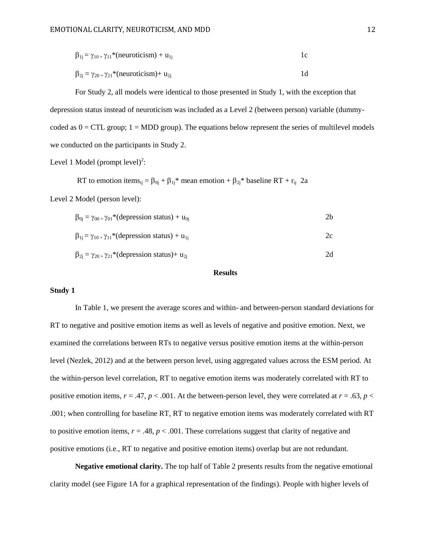$$
\beta_{1j} = \gamma_{10+}\gamma_{11} * (neuroticism) + u_{1j} \qquad 1c
$$

 $\beta_{2j} = \gamma_{20} + \gamma_{21} * (neuroticism) + u_{2j}$  1d

For Study 2, all models were identical to those presented in Study 1, with the exception that depression status instead of neuroticism was included as a Level 2 (between person) variable (dummycoded as  $0 = CTL$  group;  $1 = MDD$  group). The equations below represent the series of multilevel models we conducted on the participants in Study 2.

Level 1 Model (prompt level)<sup>2</sup>:

RT to emotion items<sub>ij</sub> =  $\beta_{0j}$  +  $\beta_{1j}$ <sup>\*</sup> mean emotion +  $\beta_{2j}$ <sup>\*</sup> baseline RT + r<sub>ij</sub> 2a

Level 2 Model (person level):

| $\beta_{0i} = \gamma_{00+}\gamma_{01}$ <sup>*</sup> (depression status) + u <sub>0i</sub> | 2h |
|-------------------------------------------------------------------------------------------|----|
| $\beta_{1i} = \gamma_{10+}\gamma_{11}$ <sup>*</sup> (depression status) + u <sub>1i</sub> | 2c |
| $\beta_{2j} = \gamma_{20+}\gamma_{21}$ <sup>*</sup> (depression status)+ u <sub>2i</sub>  | 2d |

## **Results**

### **Study 1**

In Table 1, we present the average scores and within- and between-person standard deviations for RT to negative and positive emotion items as well as levels of negative and positive emotion. Next, we examined the correlations between RTs to negative versus positive emotion items at the within-person level (Nezlek, [2012\)](#page-23-10) and at the between person level, using aggregated values across the ESM period. At the within-person level correlation, RT to negative emotion items was moderately correlated with RT to positive emotion items,  $r = .47$ ,  $p < .001$ . At the between-person level, they were correlated at  $r = .63$ ,  $p <$ .001; when controlling for baseline RT, RT to negative emotion items was moderately correlated with RT to positive emotion items,  $r = .48$ ,  $p < .001$ . These correlations suggest that clarity of negative and positive emotions (i.e., RT to negative and positive emotion items) overlap but are not redundant.

**Negative emotional clarity.** The top half of Table 2 presents results from the negative emotional clarity model (see Figure 1A for a graphical representation of the findings). People with higher levels of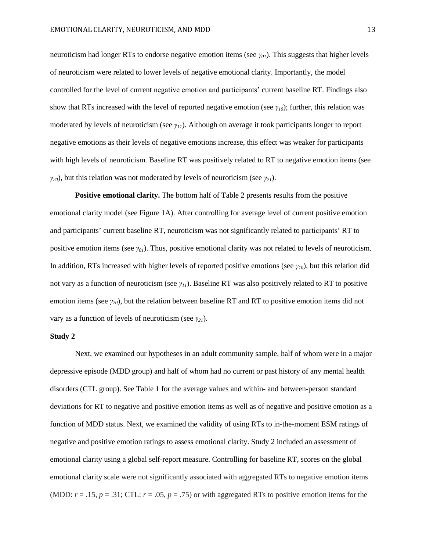neuroticism had longer RTs to endorse negative emotion items (see *γ01*). This suggests that higher levels of neuroticism were related to lower levels of negative emotional clarity. Importantly, the model controlled for the level of current negative emotion and participants' current baseline RT. Findings also show that RTs increased with the level of reported negative emotion (see *γ10*); further, this relation was moderated by levels of neuroticism (see *γ11*). Although on average it took participants longer to report negative emotions as their levels of negative emotions increase, this effect was weaker for participants with high levels of neuroticism. Baseline RT was positively related to RT to negative emotion items (see *γ20*), but this relation was not moderated by levels of neuroticism (see *γ21*).

**Positive emotional clarity.** The bottom half of Table 2 presents results from the positive emotional clarity model (see Figure 1A). After controlling for average level of current positive emotion and participants' current baseline RT, neuroticism was not significantly related to participants' RT to positive emotion items (see *γ01*). Thus, positive emotional clarity was not related to levels of neuroticism. In addition, RTs increased with higher levels of reported positive emotions (see *γ10*), but this relation did not vary as a function of neuroticism (see *γ11*). Baseline RT was also positively related to RT to positive emotion items (see *γ20*), but the relation between baseline RT and RT to positive emotion items did not vary as a function of levels of neuroticism (see *γ21*).

## **Study 2**

Next, we examined our hypotheses in an adult community sample, half of whom were in a major depressive episode (MDD group) and half of whom had no current or past history of any mental health disorders (CTL group). See Table 1 for the average values and within- and between-person standard deviations for RT to negative and positive emotion items as well as of negative and positive emotion as a function of MDD status. Next, we examined the validity of using RTs to in-the-moment ESM ratings of negative and positive emotion ratings to assess emotional clarity. Study 2 included an assessment of emotional clarity using a global self-report measure. Controlling for baseline RT, scores on the global emotional clarity scale were not significantly associated with aggregated RTs to negative emotion items (MDD:  $r = .15$ ,  $p = .31$ ; CTL:  $r = .05$ ,  $p = .75$ ) or with aggregated RTs to positive emotion items for the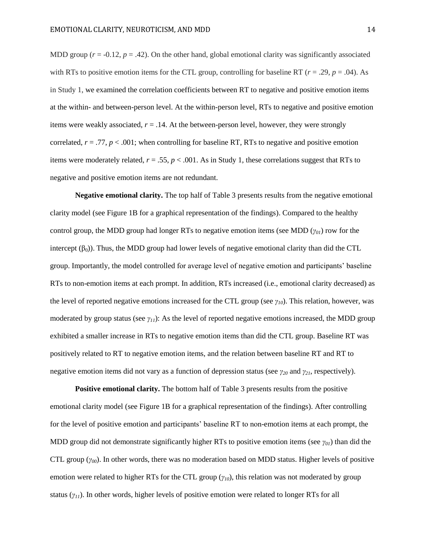MDD group  $(r = -0.12, p = .42)$ . On the other hand, global emotional clarity was significantly associated with RTs to positive emotion items for the CTL group, controlling for baseline RT ( $r = .29$ ,  $p = .04$ ). As in Study 1, we examined the correlation coefficients between RT to negative and positive emotion items at the within- and between-person level. At the within-person level, RTs to negative and positive emotion items were weakly associated,  $r = .14$ . At the between-person level, however, they were strongly correlated,  $r = .77$ ,  $p < .001$ ; when controlling for baseline RT, RTs to negative and positive emotion items were moderately related,  $r = .55$ ,  $p < .001$ . As in Study 1, these correlations suggest that RTs to negative and positive emotion items are not redundant.

**Negative emotional clarity.** The top half of Table 3 presents results from the negative emotional clarity model (see Figure 1B for a graphical representation of the findings). Compared to the healthy control group, the MDD group had longer RTs to negative emotion items (see MDD (*γ01*) row for the intercept  $(\beta_0)$ ). Thus, the MDD group had lower levels of negative emotional clarity than did the CTL group. Importantly, the model controlled for average level of negative emotion and participants' baseline RTs to non-emotion items at each prompt. In addition, RTs increased (i.e., emotional clarity decreased) as the level of reported negative emotions increased for the CTL group (see *γ10*). This relation, however, was moderated by group status (see *γ11*): As the level of reported negative emotions increased, the MDD group exhibited a smaller increase in RTs to negative emotion items than did the CTL group. Baseline RT was positively related to RT to negative emotion items, and the relation between baseline RT and RT to negative emotion items did not vary as a function of depression status (see *γ<sup>20</sup>* and *γ21*, respectively).

**Positive emotional clarity.** The bottom half of Table 3 presents results from the positive emotional clarity model (see Figure 1B for a graphical representation of the findings). After controlling for the level of positive emotion and participants' baseline RT to non-emotion items at each prompt, the MDD group did not demonstrate significantly higher RTs to positive emotion items (see *γ01*) than did the CTL group (*γ00*). In other words, there was no moderation based on MDD status. Higher levels of positive emotion were related to higher RTs for the CTL group (*γ10*), this relation was not moderated by group status (*γ11*). In other words, higher levels of positive emotion were related to longer RTs for all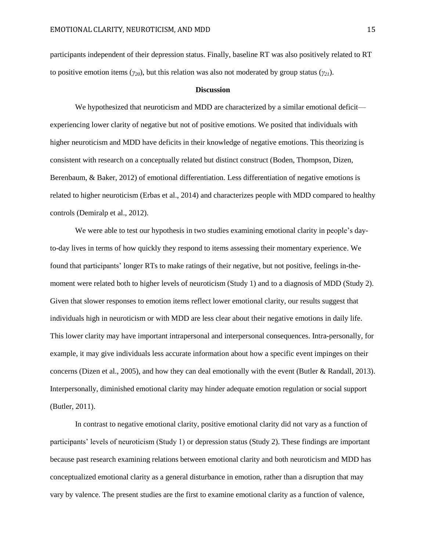participants independent of their depression status. Finally, baseline RT was also positively related to RT to positive emotion items (*γ20*), but this relation was also not moderated by group status (*γ21*).

#### **Discussion**

We hypothesized that neuroticism and MDD are characterized by a similar emotional deficit experiencing lower clarity of negative but not of positive emotions. We posited that individuals with higher neuroticism and MDD have deficits in their knowledge of negative emotions. This theorizing is consistent with research on a conceptually related but distinct construct [\(Boden, Thompson, Dizen,](#page-19-8)  Berenbaum, & Baker, 2012) of emotional differentiation. Less differentiation of negative emotions is related to higher neuroticism [\(Erbas et al., 2014\)](#page-20-7) and characterizes people with MDD compared to healthy controls [\(Demiralp et al., 2012\)](#page-20-6).

We were able to test our hypothesis in two studies examining emotional clarity in people's dayto-day lives in terms of how quickly they respond to items assessing their momentary experience. We found that participants' longer RTs to make ratings of their negative, but not positive, feelings in-themoment were related both to higher levels of neuroticism (Study 1) and to a diagnosis of MDD (Study 2). Given that slower responses to emotion items reflect lower emotional clarity, our results suggest that individuals high in neuroticism or with MDD are less clear about their negative emotions in daily life. This lower clarity may have important intrapersonal and interpersonal consequences. Intra-personally, for example, it may give individuals less accurate information about how a specific event impinges on their concerns [\(Dizen et al., 2005\)](#page-20-1), and how they can deal emotionally with the event [\(Butler & Randall, 2013\)](#page-20-8). Interpersonally, diminished emotional clarity may hinder adequate emotion regulation or social support [\(Butler, 2011\)](#page-19-9).

In contrast to negative emotional clarity, positive emotional clarity did not vary as a function of participants' levels of neuroticism (Study 1) or depression status (Study 2). These findings are important because past research examining relations between emotional clarity and both neuroticism and MDD has conceptualized emotional clarity as a general disturbance in emotion, rather than a disruption that may vary by valence. The present studies are the first to examine emotional clarity as a function of valence,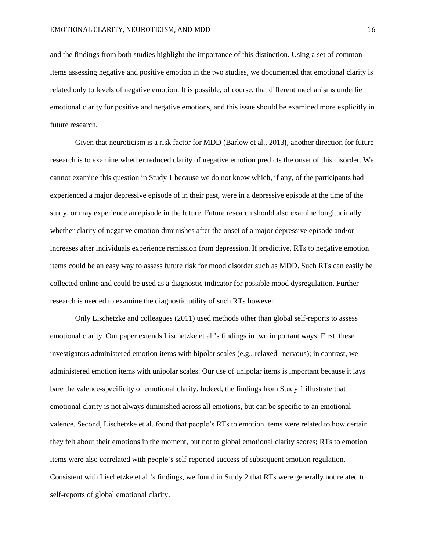and the findings from both studies highlight the importance of this distinction. Using a set of common items assessing negative and positive emotion in the two studies, we documented that emotional clarity is related only to levels of negative emotion. It is possible, of course, that different mechanisms underlie emotional clarity for positive and negative emotions, and this issue should be examined more explicitly in future research.

Given that neuroticism is a risk factor for MDD [\(Barlow et al., 2013](#page-19-1)**)**, another direction for future research is to examine whether reduced clarity of negative emotion predicts the onset of this disorder. We cannot examine this question in Study 1 because we do not know which, if any, of the participants had experienced a major depressive episode of in their past, were in a depressive episode at the time of the study, or may experience an episode in the future. Future research should also examine longitudinally whether clarity of negative emotion diminishes after the onset of a major depressive episode and/or increases after individuals experience remission from depression. If predictive, RTs to negative emotion items could be an easy way to assess future risk for mood disorder such as MDD. Such RTs can easily be collected online and could be used as a diagnostic indicator for possible mood dysregulation. Further research is needed to examine the diagnostic utility of such RTs however.

Only Lischetzke and colleagues [\(2011\)](#page-22-5) used methods other than global self-reports to assess emotional clarity. Our paper extends Lischetzke et al.'s findings in two important ways. First, these investigators administered emotion items with bipolar scales (e.g., relaxed--nervous); in contrast, we administered emotion items with unipolar scales. Our use of unipolar items is important because it lays bare the valence-specificity of emotional clarity. Indeed, the findings from Study 1 illustrate that emotional clarity is not always diminished across all emotions, but can be specific to an emotional valence. Second, Lischetzke et al. found that people's RTs to emotion items were related to how certain they felt about their emotions in the moment, but not to global emotional clarity scores; RTs to emotion items were also correlated with people's self-reported success of subsequent emotion regulation. Consistent with Lischetzke et al.'s findings, we found in Study 2 that RTs were generally not related to self-reports of global emotional clarity.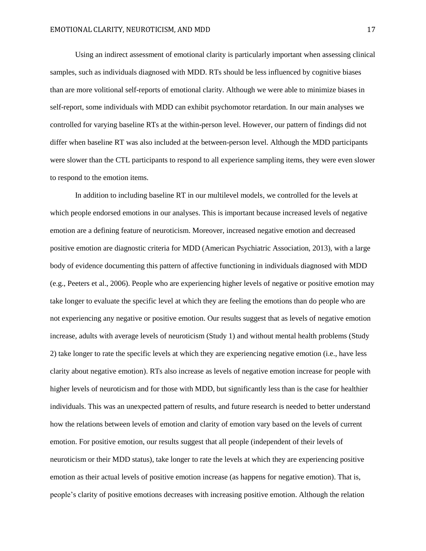Using an indirect assessment of emotional clarity is particularly important when assessing clinical samples, such as individuals diagnosed with MDD. RTs should be less influenced by cognitive biases than are more volitional self-reports of emotional clarity. Although we were able to minimize biases in self-report, some individuals with MDD can exhibit psychomotor retardation. In our main analyses we controlled for varying baseline RTs at the within-person level. However, our pattern of findings did not differ when baseline RT was also included at the between-person level. Although the MDD participants were slower than the CTL participants to respond to all experience sampling items, they were even slower to respond to the emotion items.

In addition to including baseline RT in our multilevel models, we controlled for the levels at which people endorsed emotions in our analyses. This is important because increased levels of negative emotion are a defining feature of neuroticism. Moreover, increased negative emotion and decreased positive emotion are diagnostic criteria for MDD [\(American Psychiatric Association, 2013\)](#page-19-7), with a large body of evidence documenting this pattern of affective functioning in individuals diagnosed with MDD (e.g., [Peeters et al., 2006\)](#page-23-5). People who are experiencing higher levels of negative or positive emotion may take longer to evaluate the specific level at which they are feeling the emotions than do people who are not experiencing any negative or positive emotion. Our results suggest that as levels of negative emotion increase, adults with average levels of neuroticism (Study 1) and without mental health problems (Study 2) take longer to rate the specific levels at which they are experiencing negative emotion (i.e., have less clarity about negative emotion). RTs also increase as levels of negative emotion increase for people with higher levels of neuroticism and for those with MDD, but significantly less than is the case for healthier individuals. This was an unexpected pattern of results, and future research is needed to better understand how the relations between levels of emotion and clarity of emotion vary based on the levels of current emotion. For positive emotion, our results suggest that all people (independent of their levels of neuroticism or their MDD status), take longer to rate the levels at which they are experiencing positive emotion as their actual levels of positive emotion increase (as happens for negative emotion). That is, people's clarity of positive emotions decreases with increasing positive emotion. Although the relation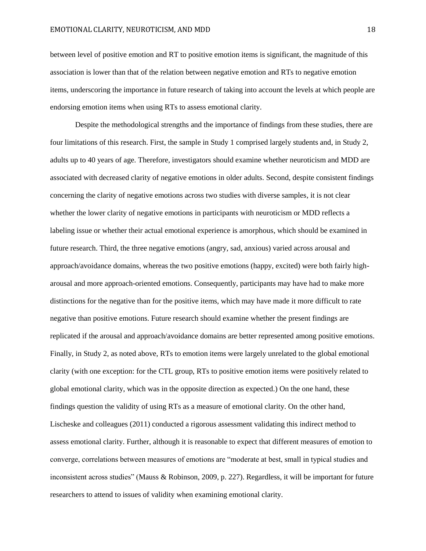between level of positive emotion and RT to positive emotion items is significant, the magnitude of this association is lower than that of the relation between negative emotion and RTs to negative emotion items, underscoring the importance in future research of taking into account the levels at which people are endorsing emotion items when using RTs to assess emotional clarity.

Despite the methodological strengths and the importance of findings from these studies, there are four limitations of this research. First, the sample in Study 1 comprised largely students and, in Study 2, adults up to 40 years of age. Therefore, investigators should examine whether neuroticism and MDD are associated with decreased clarity of negative emotions in older adults. Second, despite consistent findings concerning the clarity of negative emotions across two studies with diverse samples, it is not clear whether the lower clarity of negative emotions in participants with neuroticism or MDD reflects a labeling issue or whether their actual emotional experience is amorphous, which should be examined in future research. Third, the three negative emotions (angry, sad, anxious) varied across arousal and approach/avoidance domains, whereas the two positive emotions (happy, excited) were both fairly higharousal and more approach-oriented emotions. Consequently, participants may have had to make more distinctions for the negative than for the positive items, which may have made it more difficult to rate negative than positive emotions. Future research should examine whether the present findings are replicated if the arousal and approach/avoidance domains are better represented among positive emotions. Finally, in Study 2, as noted above, RTs to emotion items were largely unrelated to the global emotional clarity (with one exception: for the CTL group, RTs to positive emotion items were positively related to global emotional clarity, which was in the opposite direction as expected.) On the one hand, these findings question the validity of using RTs as a measure of emotional clarity. On the other hand, Lischeske and colleagues [\(2011\)](#page-22-5) conducted a rigorous assessment validating this indirect method to assess emotional clarity. Further, although it is reasonable to expect that different measures of emotion to converge, correlations between measures of emotions are "moderate at best, small in typical studies and inconsistent across studies" [\(Mauss & Robinson, 2009,](#page-22-9) p. 227). Regardless, it will be important for future researchers to attend to issues of validity when examining emotional clarity.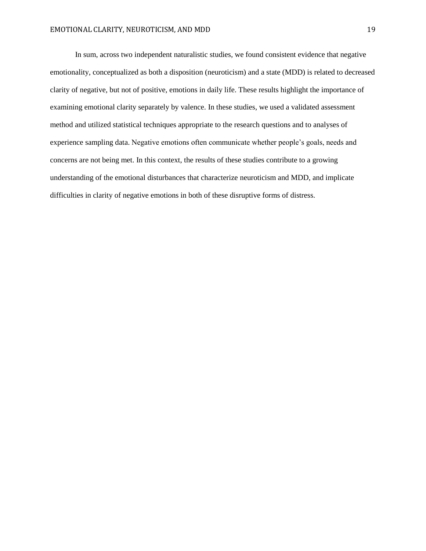In sum, across two independent naturalistic studies, we found consistent evidence that negative emotionality, conceptualized as both a disposition (neuroticism) and a state (MDD) is related to decreased clarity of negative, but not of positive, emotions in daily life. These results highlight the importance of examining emotional clarity separately by valence. In these studies, we used a validated assessment method and utilized statistical techniques appropriate to the research questions and to analyses of experience sampling data. Negative emotions often communicate whether people's goals, needs and concerns are not being met. In this context, the results of these studies contribute to a growing understanding of the emotional disturbances that characterize neuroticism and MDD, and implicate difficulties in clarity of negative emotions in both of these disruptive forms of distress.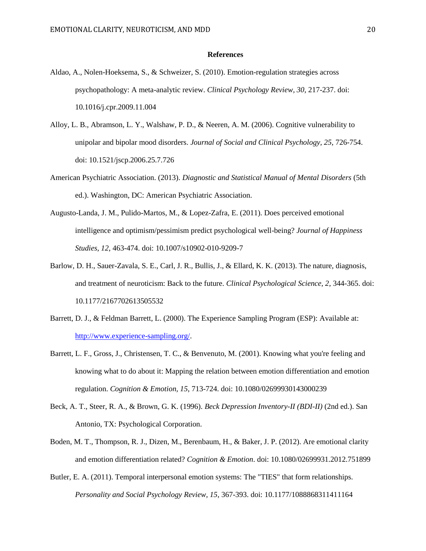#### **References**

- <span id="page-19-3"></span>Aldao, A., Nolen-Hoeksema, S., & Schweizer, S. (2010). Emotion-regulation strategies across psychopathology: A meta-analytic review. *Clinical Psychology Review, 30*, 217-237. doi: 10.1016/j.cpr.2009.11.004
- <span id="page-19-2"></span>Alloy, L. B., Abramson, L. Y., Walshaw, P. D., & Neeren, A. M. (2006). Cognitive vulnerability to unipolar and bipolar mood disorders. *Journal of Social and Clinical Psychology, 25*, 726-754. doi: 10.1521/jscp.2006.25.7.726
- <span id="page-19-7"></span>American Psychiatric Association. (2013). *Diagnostic and Statistical Manual of Mental Disorders* (5th ed.). Washington, DC: American Psychiatric Association.
- <span id="page-19-0"></span>Augusto-Landa, J. M., Pulido-Martos, M., & Lopez-Zafra, E. (2011). Does perceived emotional intelligence and optimism/pessimism predict psychological well-being? *Journal of Happiness Studies, 12*, 463-474. doi: 10.1007/s10902-010-9209-7
- <span id="page-19-1"></span>Barlow, D. H., Sauer-Zavala, S. E., Carl, J. R., Bullis, J., & Ellard, K. K. (2013). The nature, diagnosis, and treatment of neuroticism: Back to the future. *Clinical Psychological Science, 2*, 344-365. doi: 10.1177/2167702613505532
- <span id="page-19-5"></span>Barrett, D. J., & Feldman Barrett, L. (2000). The Experience Sampling Program (ESP): Available at: [http://www.experience-sampling.org/.](http://www.experience-sampling.org/)
- <span id="page-19-4"></span>Barrett, L. F., Gross, J., Christensen, T. C., & Benvenuto, M. (2001). Knowing what you're feeling and knowing what to do about it: Mapping the relation between emotion differentiation and emotion regulation. *Cognition & Emotion, 15*, 713-724. doi: 10.1080/02699930143000239
- <span id="page-19-6"></span>Beck, A. T., Steer, R. A., & Brown, G. K. (1996). *Beck Depression Inventory-II (BDI-II)* (2nd ed.). San Antonio, TX: Psychological Corporation.
- <span id="page-19-8"></span>Boden, M. T., Thompson, R. J., Dizen, M., Berenbaum, H., & Baker, J. P. (2012). Are emotional clarity and emotion differentiation related? *Cognition & Emotion*. doi: 10.1080/02699931.2012.751899
- <span id="page-19-9"></span>Butler, E. A. (2011). Temporal interpersonal emotion systems: The "TIES" that form relationships. *Personality and Social Psychology Review, 15*, 367-393. doi: 10.1177/1088868311411164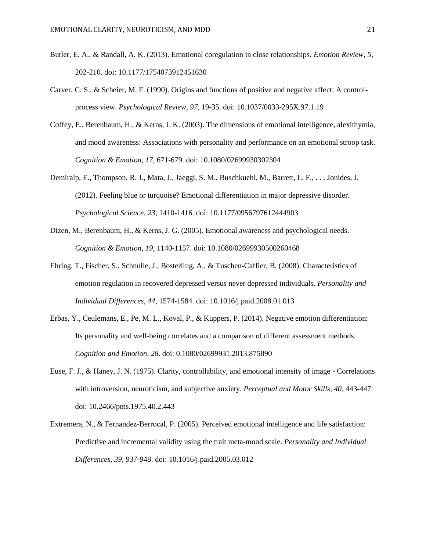- <span id="page-20-8"></span>Butler, E. A., & Randall, A. K. (2013). Emotional coregulation in close relationships. *Emotion Review, 5*, 202-210. doi: 10.1177/1754073912451630
- <span id="page-20-0"></span>Carver, C. S., & Scheier, M. F. (1990). Origins and functions of positive and negative affect: A controlprocess view. *Psychological Review, 97*, 19-35. doi: 10.1037/0033-295X.97.1.19
- <span id="page-20-2"></span>Coffey, E., Berenbaum, H., & Kerns, J. K. (2003). The dimensions of emotional intelligence, alexithymia, and mood awareness: Associations with personality and performance on an emotional stroop task. *Cognition & Emotion, 17*, 671-679. doi: 10.1080/02699930302304
- <span id="page-20-6"></span>Demiralp, E., Thompson, R. J., Mata, J., Jaeggi, S. M., Buschkuehl, M., Barrett, L. F., . . . Jonides, J. (2012). Feeling blue or turquoise? Emotional differentiation in major depressive disorder. *Psychological Science, 23*, 1410-1416. doi: 10.1177/0956797612444903
- <span id="page-20-1"></span>Dizen, M., Berenbaum, H., & Kerns, J. G. (2005). Emotional awareness and psychological needs. *Cognition & Emotion, 19*, 1140-1157. doi: 10.1080/02699930500260468
- <span id="page-20-3"></span>Ehring, T., Fischer, S., Schnulle, J., Bosterling, A., & Tuschen-Caffier, B. (2008). Characteristics of emotion regulation in recovered depressed versus never depressed individuals. *Personality and Individual Differences, 44*, 1574-1584. doi: 10.1016/j.paid.2008.01.013
- <span id="page-20-7"></span>Erbas, Y., Ceulemans, E., Pe, M. L., Koval, P., & Kuppers, P. (2014). Negative emotion differentiation: Its personality and well-being correlates and a comparison of different assessment methods. *Cognition and Emotion, 28*. doi: 0.1080/02699931.2013.875890
- <span id="page-20-4"></span>Euse, F. J., & Haney, J. N. (1975). Clarity, controllability, and emotional intensity of image - Correlations with introversion, neuroticism, and subjective anxiety. *Perceptual and Motor Skills, 40*, 443-447. doi: 10.2466/pms.1975.40.2.443
- <span id="page-20-5"></span>Extremera, N., & Fernandez-Berrocal, P. (2005). Perceived emotional intelligence and life satisfaction: Predictive and incremental validity using the trait meta-mood scale. *Personality and Individual Differences, 39*, 937-948. doi: 10.1016/j.paid.2005.03.012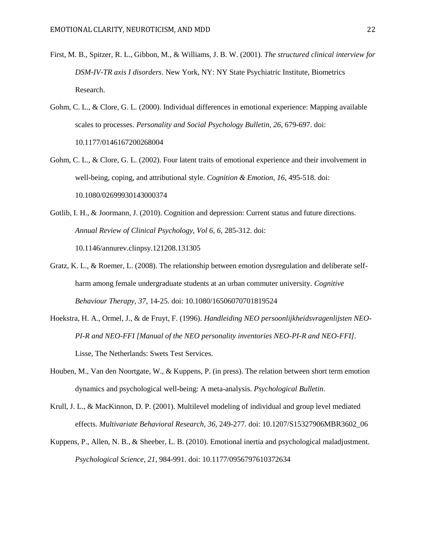- <span id="page-21-6"></span>First, M. B., Spitzer, R. L., Gibbon, M., & Williams, J. B. W. (2001). *The structured clinical interview for DSM-IV-TR axis I disorders*. New York, NY: NY State Psychiatric Institute, Biometrics Research.
- <span id="page-21-0"></span>Gohm, C. L., & Clore, G. L. (2000). Individual differences in emotional experience: Mapping available scales to processes. *Personality and Social Psychology Bulletin, 26*, 679-697. doi: 10.1177/0146167200268004
- <span id="page-21-2"></span>Gohm, C. L., & Clore, G. L. (2002). Four latent traits of emotional experience and their involvement in well-being, coping, and attributional style. *Cognition & Emotion, 16*, 495-518. doi: 10.1080/02699930143000374
- <span id="page-21-3"></span>Gotlib, I. H., & Joormann, J. (2010). Cognition and depression: Current status and future directions. *Annual Review of Clinical Psychology, Vol 6, 6*, 285-312. doi: 10.1146/annurev.clinpsy.121208.131305
- <span id="page-21-1"></span>Gratz, K. L., & Roemer, L. (2008). The relationship between emotion dysregulation and deliberate selfharm among female undergraduate students at an urban commuter university. *Cognitive Behaviour Therapy, 37*, 14-25. doi: 10.1080/16506070701819524
- <span id="page-21-7"></span>Hoekstra, H. A., Ormel, J., & de Fruyt, F. (1996). *Handleiding NEO persoonlijkheidsvragenlijsten NEO-PI-R and NEO-FFI [Manual of the NEO personality inventories NEO-PI-R and NEO-FFI]*. Lisse, The Netherlands: Swets Test Services.
- <span id="page-21-4"></span>Houben, M., Van den Noortgate, W., & Kuppens, P. (in press). The relation between short term emotion dynamics and psychological well-being: A meta-analysis. *Psychological Bulletin*.
- <span id="page-21-8"></span>Krull, J. L., & MacKinnon, D. P. (2001). Multilevel modeling of individual and group level mediated effects. *Multivariate Behavioral Research, 36*, 249-277. doi: 10.1207/S15327906MBR3602\_06
- <span id="page-21-5"></span>Kuppens, P., Allen, N. B., & Sheeber, L. B. (2010). Emotional inertia and psychological maladjustment. *Psychological Science, 21*, 984-991. doi: 10.1177/0956797610372634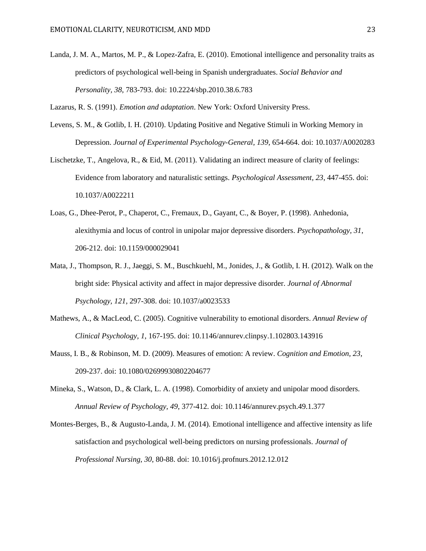<span id="page-22-1"></span>Landa, J. M. A., Martos, M. P., & Lopez-Zafra, E. (2010). Emotional intelligence and personality traits as predictors of psychological well-being in Spanish undergraduates. *Social Behavior and Personality, 38*, 783-793. doi: 10.2224/sbp.2010.38.6.783

<span id="page-22-0"></span>Lazarus, R. S. (1991). *Emotion and adaptation*. New York: Oxford University Press.

- <span id="page-22-7"></span>Levens, S. M., & Gotlib, I. H. (2010). Updating Positive and Negative Stimuli in Working Memory in Depression. *Journal of Experimental Psychology-General, 139*, 654-664. doi: 10.1037/A0020283
- <span id="page-22-5"></span>Lischetzke, T., Angelova, R., & Eid, M. (2011). Validating an indirect measure of clarity of feelings: Evidence from laboratory and naturalistic settings. *Psychological Assessment, 23*, 447-455. doi: 10.1037/A0022211
- <span id="page-22-3"></span>Loas, G., Dhee-Perot, P., Chaperot, C., Fremaux, D., Gayant, C., & Boyer, P. (1998). Anhedonia, alexithymia and locus of control in unipolar major depressive disorders. *Psychopathology, 31*, 206-212. doi: 10.1159/000029041
- <span id="page-22-8"></span>Mata, J., Thompson, R. J., Jaeggi, S. M., Buschkuehl, M., Jonides, J., & Gotlib, I. H. (2012). Walk on the bright side: Physical activity and affect in major depressive disorder. *Journal of Abnormal Psychology, 121*, 297-308. doi: 10.1037/a0023533
- <span id="page-22-6"></span>Mathews, A., & MacLeod, C. (2005). Cognitive vulnerability to emotional disorders. *Annual Review of Clinical Psychology, 1*, 167-195. doi: 10.1146/annurev.clinpsy.1.102803.143916
- <span id="page-22-9"></span>Mauss, I. B., & Robinson, M. D. (2009). Measures of emotion: A review. *Cognition and Emotion, 23*, 209-237. doi: 10.1080/02699930802204677
- <span id="page-22-4"></span>Mineka, S., Watson, D., & Clark, L. A. (1998). Comorbidity of anxiety and unipolar mood disorders. *Annual Review of Psychology, 49*, 377-412. doi: 10.1146/annurev.psych.49.1.377
- <span id="page-22-2"></span>Montes-Berges, B., & Augusto-Landa, J. M. (2014). Emotional intelligence and affective intensity as life satisfaction and psychological well-being predictors on nursing professionals. *Journal of Professional Nursing, 30*, 80-88. doi: 10.1016/j.profnurs.2012.12.012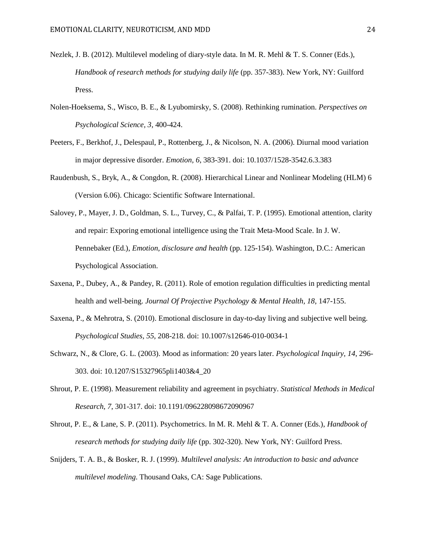- <span id="page-23-10"></span>Nezlek, J. B. (2012). Multilevel modeling of diary-style data. In M. R. Mehl & T. S. Conner (Eds.), *Handbook of research methods for studying daily life* (pp. 357-383). New York, NY: Guilford Press.
- <span id="page-23-4"></span>Nolen-Hoeksema, S., Wisco, B. E., & Lyubomirsky, S. (2008). Rethinking rumination. *Perspectives on Psychological Science, 3*, 400-424.
- <span id="page-23-5"></span>Peeters, F., Berkhof, J., Delespaul, P., Rottenberg, J., & Nicolson, N. A. (2006). Diurnal mood variation in major depressive disorder. *Emotion, 6*, 383-391. doi: 10.1037/1528-3542.6.3.383
- <span id="page-23-9"></span>Raudenbush, S., Bryk, A., & Congdon, R. (2008). Hierarchical Linear and Nonlinear Modeling (HLM) 6 (Version 6.06). Chicago: Scientific Software International.
- <span id="page-23-1"></span>Salovey, P., Mayer, J. D., Goldman, S. L., Turvey, C., & Palfai, T. P. (1995). Emotional attention, clarity and repair: Exporing emotional intelligence using the Trait Meta-Mood Scale. In J. W. Pennebaker (Ed.), *Emotion, disclosure and health* (pp. 125-154). Washington, D.C.: American Psychological Association.
- <span id="page-23-3"></span>Saxena, P., Dubey, A., & Pandey, R. (2011). Role of emotion regulation difficulties in predicting mental health and well-being. *Journal Of Projective Psychology & Mental Health, 18*, 147-155.
- <span id="page-23-2"></span>Saxena, P., & Mehrotra, S. (2010). Emotional disclosure in day-to-day living and subjective well being. *Psychological Studies, 55*, 208-218. doi: 10.1007/s12646-010-0034-1
- <span id="page-23-0"></span>Schwarz, N., & Clore, G. L. (2003). Mood as information: 20 years later. *Psychological Inquiry, 14*, 296- 303. doi: 10.1207/S15327965pli1403&4\_20
- <span id="page-23-7"></span>Shrout, P. E. (1998). Measurement reliability and agreement in psychiatry. *Statistical Methods in Medical Research, 7*, 301-317. doi: 10.1191/096228098672090967
- <span id="page-23-6"></span>Shrout, P. E., & Lane, S. P. (2011). Psychometrics. In M. R. Mehl & T. A. Conner (Eds.), *Handbook of research methods for studying daily life* (pp. 302-320). New York, NY: Guilford Press.
- <span id="page-23-8"></span>Snijders, T. A. B., & Bosker, R. J. (1999). *Multilevel analysis: An introduction to basic and advance multilevel modeling*. Thousand Oaks, CA: Sage Publications.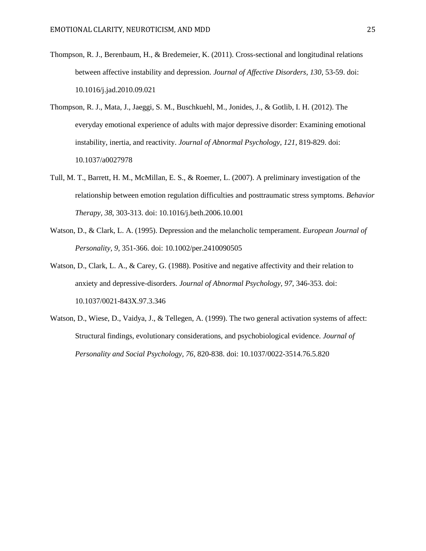- <span id="page-24-4"></span>Thompson, R. J., Berenbaum, H., & Bredemeier, K. (2011). Cross-sectional and longitudinal relations between affective instability and depression. *Journal of Affective Disorders, 130*, 53-59. doi: 10.1016/j.jad.2010.09.021
- <span id="page-24-5"></span>Thompson, R. J., Mata, J., Jaeggi, S. M., Buschkuehl, M., Jonides, J., & Gotlib, I. H. (2012). The everyday emotional experience of adults with major depressive disorder: Examining emotional instability, inertia, and reactivity. *Journal of Abnormal Psychology, 121*, 819-829. doi: 10.1037/a0027978
- <span id="page-24-0"></span>Tull, M. T., Barrett, H. M., McMillan, E. S., & Roemer, L. (2007). A preliminary investigation of the relationship between emotion regulation difficulties and posttraumatic stress symptoms. *Behavior Therapy, 38*, 303-313. doi: 10.1016/j.beth.2006.10.001
- <span id="page-24-2"></span>Watson, D., & Clark, L. A. (1995). Depression and the melancholic temperament. *European Journal of Personality, 9*, 351-366. doi: 10.1002/per.2410090505
- <span id="page-24-3"></span>Watson, D., Clark, L. A., & Carey, G. (1988). Positive and negative affectivity and their relation to anxiety and depressive-disorders. *Journal of Abnormal Psychology, 97*, 346-353. doi: 10.1037/0021-843X.97.3.346
- <span id="page-24-1"></span>Watson, D., Wiese, D., Vaidya, J., & Tellegen, A. (1999). The two general activation systems of affect: Structural findings, evolutionary considerations, and psychobiological evidence. *Journal of Personality and Social Psychology, 76*, 820-838. doi: 10.1037/0022-3514.76.5.820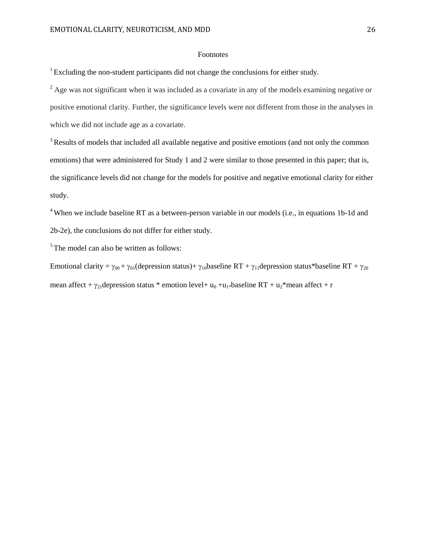## Footnotes

<sup>1</sup> Excluding the non-student participants did not change the conclusions for either study.

 $^{2}$  Age was not significant when it was included as a covariate in any of the models examining negative or positive emotional clarity. Further, the significance levels were not different from those in the analyses in which we did not include age as a covariate.

<sup>3</sup> Results of models that included all available negative and positive emotions (and not only the common emotions) that were administered for Study 1 and 2 were similar to those presented in this paper; that is, the significance levels did not change for the models for positive and negative emotional clarity for either study.

<sup>4</sup> When we include baseline RT as a between-person variable in our models (i.e., in equations 1b-1d and 2b-2e), the conclusions do not differ for either study.

 $5$ <sup>5</sup> The model can also be written as follows:

Emotional clarity =  $\gamma_{00}$  +  $\gamma_{01}$ (depression status)+  $\gamma_{10}$ baseline RT +  $\gamma_{11}$ depression status\*baseline RT +  $\gamma_{20}$ mean affect +  $\gamma_{21}$ depression status \* emotion level + u<sub>0</sub> +u<sub>1</sub>\*baseline RT + u<sub>2</sub>\*mean affect + r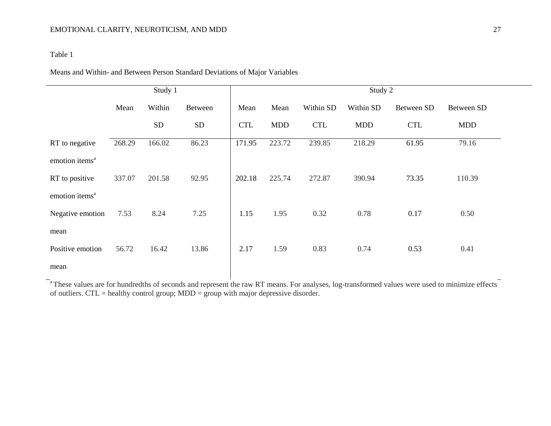## Table 1

## Means and Within- and Between Person Standard Deviations of Major Variables

|                            | Study 1 |            |           | Study 2    |            |            |            |            |            |  |
|----------------------------|---------|------------|-----------|------------|------------|------------|------------|------------|------------|--|
|                            | Mean    | Within     | Between   | Mean       | Mean       | Within SD  | Within SD  | Between SD | Between SD |  |
|                            |         | ${\rm SD}$ | <b>SD</b> | <b>CTL</b> | <b>MDD</b> | <b>CTL</b> | <b>MDD</b> | <b>CTL</b> | <b>MDD</b> |  |
| RT to negative             | 268.29  | 166.02     | 86.23     | 171.95     | 223.72     | 239.85     | 218.29     | 61.95      | 79.16      |  |
| emotion items <sup>a</sup> |         |            |           |            |            |            |            |            |            |  |
| RT to positive             | 337.07  | 201.58     | 92.95     | 202.18     | 225.74     | 272.87     | 390.94     | 73.35      | 110.39     |  |
| emotion items <sup>a</sup> |         |            |           |            |            |            |            |            |            |  |
| Negative emotion           | 7.53    | 8.24       | 7.25      | 1.15       | 1.95       | 0.32       | 0.78       | 0.17       | 0.50       |  |
| mean                       |         |            |           |            |            |            |            |            |            |  |
| Positive emotion           | 56.72   | 16.42      | 13.86     | 2.17       | 1.59       | 0.83       | 0.74       | 0.53       | 0.41       |  |
| mean                       |         |            |           |            |            |            |            |            |            |  |

 $a$ <sup>a</sup> These values are for hundredths of seconds and represent the raw RT means. For analyses, log-transformed values were used to minimize effects of outliers.  $CTL =$  healthy control group;  $MDD =$  group with major depressive disorder.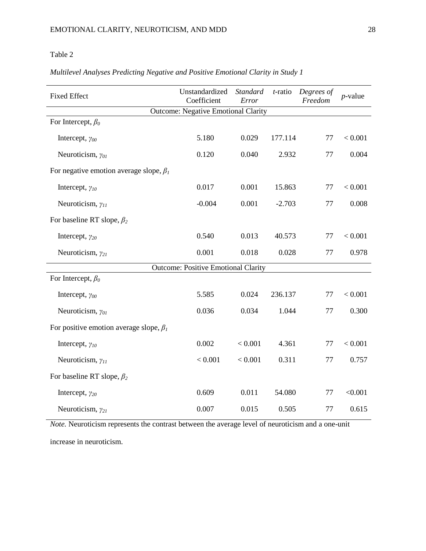# Table 2

|                                               | Unstandardized<br>Standard                 |         | $t$ -ratio | Degrees of |            |  |  |  |
|-----------------------------------------------|--------------------------------------------|---------|------------|------------|------------|--|--|--|
| <b>Fixed Effect</b>                           | Coefficient                                | Error   |            | Freedom    | $p$ -value |  |  |  |
| <b>Outcome: Negative Emotional Clarity</b>    |                                            |         |            |            |            |  |  |  |
| For Intercept, $\beta_0$                      |                                            |         |            |            |            |  |  |  |
| Intercept, $\gamma_{00}$                      | 5.180                                      | 0.029   | 177.114    | 77         | < 0.001    |  |  |  |
| Neuroticism, $\gamma_{01}$                    | 0.120                                      | 0.040   | 2.932      | 77         | 0.004      |  |  |  |
| For negative emotion average slope, $\beta_1$ |                                            |         |            |            |            |  |  |  |
| Intercept, $\gamma_{10}$                      | 0.017                                      | 0.001   | 15.863     | 77         | < 0.001    |  |  |  |
| Neuroticism, $\gamma_{II}$                    | $-0.004$                                   | 0.001   | $-2.703$   | 77         | 0.008      |  |  |  |
| For baseline RT slope, $\beta_2$              |                                            |         |            |            |            |  |  |  |
| Intercept, $\gamma_{20}$                      | 0.540                                      | 0.013   | 40.573     | 77         | $< 0.001$  |  |  |  |
| Neuroticism, $\gamma_{21}$                    | 0.001                                      | 0.018   | 0.028      | 77         | 0.978      |  |  |  |
|                                               | <b>Outcome: Positive Emotional Clarity</b> |         |            |            |            |  |  |  |
| For Intercept, $\beta_0$                      |                                            |         |            |            |            |  |  |  |
| Intercept, $\gamma_{00}$                      | 5.585                                      | 0.024   | 236.137    | 77         | < 0.001    |  |  |  |
| Neuroticism, $\gamma_{01}$                    | 0.036                                      | 0.034   | 1.044      | 77         | 0.300      |  |  |  |
| For positive emotion average slope, $\beta_1$ |                                            |         |            |            |            |  |  |  |
| Intercept, $\gamma_{10}$                      | 0.002                                      | < 0.001 | 4.361      | 77         | < 0.001    |  |  |  |
| Neuroticism, $\gamma_{11}$                    | < 0.001                                    | < 0.001 | 0.311      | 77         | 0.757      |  |  |  |
| For baseline RT slope, $\beta_2$              |                                            |         |            |            |            |  |  |  |
| Intercept, $\gamma_{20}$                      | 0.609                                      | 0.011   | 54.080     | 77         | < 0.001    |  |  |  |
| Neuroticism, $\gamma_{21}$                    | 0.007                                      | 0.015   | 0.505      | 77         | 0.615      |  |  |  |

# *Multilevel Analyses Predicting Negative and Positive Emotional Clarity in Study 1*

*Note.* Neuroticism represents the contrast between the average level of neuroticism and a one-unit

increase in neuroticism.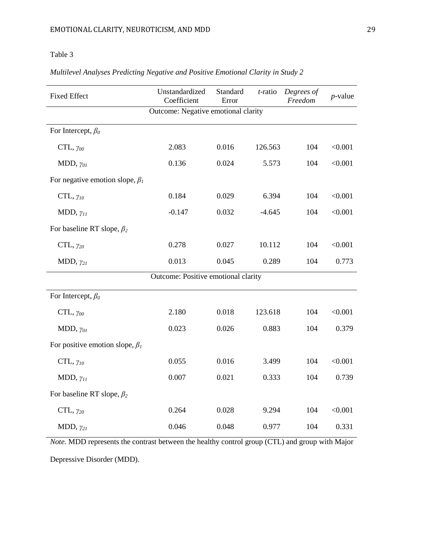# Table 3

| <b>Fixed Effect</b>                   | Unstandardized<br>Coefficient | Standard<br>Error | $t$ -ratio | Degrees of<br>Freedom | $p$ -value |  |  |  |
|---------------------------------------|-------------------------------|-------------------|------------|-----------------------|------------|--|--|--|
| Outcome: Negative emotional clarity   |                               |                   |            |                       |            |  |  |  |
| For Intercept, $\beta_0$              |                               |                   |            |                       |            |  |  |  |
| $CTL, \gamma_{00}$                    | 2.083                         | 0.016             | 126.563    | 104                   | < 0.001    |  |  |  |
| MDD, $\gamma_{01}$                    | 0.136                         | 0.024             | 5.573      | 104                   | < 0.001    |  |  |  |
| For negative emotion slope, $\beta_l$ |                               |                   |            |                       |            |  |  |  |
| CTL, $\gamma_{10}$                    | 0.184                         | 0.029             | 6.394      | 104                   | < 0.001    |  |  |  |
| MDD, $\gamma_{11}$                    | $-0.147$                      | 0.032             | $-4.645$   | 104                   | < 0.001    |  |  |  |
| For baseline RT slope, $\beta_2$      |                               |                   |            |                       |            |  |  |  |
| CTL, $\gamma_{20}$                    | 0.278                         | 0.027             | 10.112     | 104                   | < 0.001    |  |  |  |
| MDD, $\gamma_{21}$                    | 0.013                         | 0.045             | 0.289      | 104                   | 0.773      |  |  |  |
| Outcome: Positive emotional clarity   |                               |                   |            |                       |            |  |  |  |
| For Intercept, $\beta_0$              |                               |                   |            |                       |            |  |  |  |
| $CTL, \gamma_{00}$                    | 2.180                         | 0.018             | 123.618    | 104                   | < 0.001    |  |  |  |
| MDD, $\gamma_{01}$                    | 0.023                         | 0.026             | 0.883      | 104                   | 0.379      |  |  |  |
| For positive emotion slope, $\beta_I$ |                               |                   |            |                       |            |  |  |  |
| CTL, $\gamma_{10}$                    | 0.055                         | 0.016             | 3.499      | 104                   | < 0.001    |  |  |  |
| MDD, $\gamma_{11}$                    | 0.007                         | 0.021             | 0.333      | 104                   | 0.739      |  |  |  |
| For baseline RT slope, $\beta_2$      |                               |                   |            |                       |            |  |  |  |
| CTL, $\gamma_{20}$                    | 0.264                         | 0.028             | 9.294      | 104                   | < 0.001    |  |  |  |
| MDD, $\gamma_{21}$                    | 0.046                         | 0.048             | 0.977      | 104                   | 0.331      |  |  |  |

*Multilevel Analyses Predicting Negative and Positive Emotional Clarity in Study 2*

*Note.* MDD represents the contrast between the healthy control group (CTL) and group with Major

Depressive Disorder (MDD).